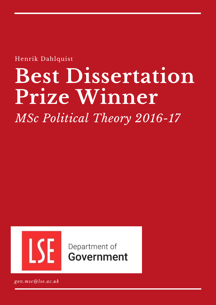Henrik Dahlquist

# **Best Dissertation Prize Winner**

*MSc Political Theory 2016-17*



Department of Government

*gov.msc@lse.ac.uk*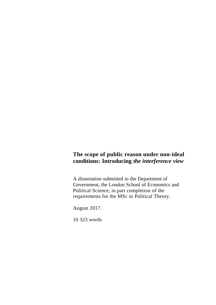# **The scope of public reason under non-ideal conditions: Introducing** *the interference view*

A dissertation submitted to the Department of Government, the London School of Economics and Political Science, in part completion of the requirements for the MSc in Political Theory.

August 2017.

10 323 words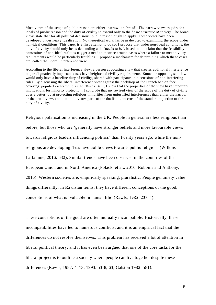Most views of the scope of public reason are either 'narrow' or 'broad'. The narrow views require the ideals of public reason and the duty of civility to extend only to the *basic structure of society*. The broad views state that for all political decisions, public reason ought to apply. These views have been developed under heavy idealisation. No theoretical work has been devoted to examining the scope under non-ideal conditions. This paper is a first attempt to do so. I propose that under non-ideal conditions, the duty of civility should only be as demanding as it 'needs to be', based on the claim that the feasibility constraints of non-ideal realities trigger a need to theorise around cases where a failure to meet civility requirements would be particularly troubling. I propose a mechanism for determining which these cases are, called the liberal interference view.

According to the liberal interference view, a person advocating a law that creates additional interference in paradigmatically important cases have heightened civility requirements. Someone opposing said law would only have a baseline duty of civility, shared with participants in discussions of non-interfering rules. By discussing the liberal interference view against the backdrop of the French ban on face covering, popularly referred to as the 'Burqa Ban', I show that the properties of the view have important implications for minority protection. I conclude that my revised view of the scope of the duty of civility does a better job at protecting religious minorities from unjustified interferences than either the narrow or the broad view, and that it alleviates parts of the dualism-concerns of the standard objection to the duty of civility.

Religious polarisation is increasing in the UK. People in general are less religious than before, but those who are 'generally have stronger beliefs and more favourable views towards religious leaders influencing politics' than twenty years ago, while the nonreligious are developing 'less favourable views towards public religion' (Wilkins-Laflamme, 2016: 632). Similar trends have been observed in the countries of the European Union and in North America (Polack, et al., 2016; Robbins and Anthony, 2016). Western societies are, empirically speaking, pluralistic. People genuinely value things differently. In Rawlsian terms, they have different conceptions of the good, conceptions of what is 'valuable in human life' (Rawls, 1985: 233-4).

These conceptions of the good are often mutually incompatible. Historically, these incompatibilities have led to numerous conflicts, and it is an empirical fact that the differences do not resolve themselves. This problem has received a lot of attention in liberal political theory, and it has even been argued that one of the core tasks for the liberal project is to outline a society where people can live together despite these differences (Rawls, 1987: 4, 13; 1993: 53-8, 63; Galston 1982: 581).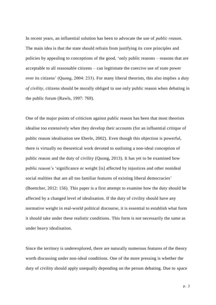In recent years, an influential solution has been to advocate the use of *public reason*. The main idea is that the state should refrain from justifying its core principles and policies by appealing to conceptions of the good, 'only public reasons – reasons that are acceptable to all reasonable citizens – can legitimate the coercive use of state power over its citizens' (Quong, 2004: 233). For many liberal theorists, this also implies a *duty of civility*, citizens should be morally obliged to use only public reason when debating in the public forum (Rawls, 1997: 769).

One of the major points of criticism against public reason has been that most theorists idealise too extensively when they develop their accounts (for an influential critique of public reason idealisation see Eberle, 2002). Even though this objection is powerful, there is virtually no theoretical work devoted to outlining a non-ideal conception of public reason and the duty of civility (Quong, 2013). It has yet to be examined how public reason's 'significance or weight [is] affected by injustices and other nonideal social realities that are all too familiar features of existing liberal democracies' (Boettcher, 2012: 156). This paper is a first attempt to examine how the duty should be affected by a changed level of idealisation. If the duty of civility should have any normative weight in real-world political discourse, it is essential to establish what form it should take under these realistic conditions. This form is not necessarily the same as under heavy idealisation.

Since the territory is underexplored, there are naturally numerous features of the theory worth discussing under non-ideal conditions. One of the more pressing is whether the duty of civility should apply unequally depending on the person debating. Due to space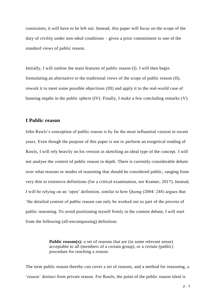constraints, it will have to be left out. Instead, this paper will focus on the scope of the duty of civility under non-ideal conditions – given a prior commitment to one of the standard views of public reason.

Initially, I will outline the main features of public reason (I). I will then begin formulating an alternative to the traditional views of the scope of public reason (II), rework it to meet some possible objections (III) and apply it to the real-world case of banning niqabs in the public sphere (IV). Finally, I make a few concluding remarks (V).

# **I Public reason**

John Rawls's conception of public reason is by far the most influential version in recent years. Even though the purpose of this paper is not to perform an exegetical reading of Rawls, I will rely heavily on his version in sketching an ideal type of the concept. I will not analyse the *content* of public reason in depth. There is currently considerable debate over what reasons or modes of reasoning that should be considered public, ranging from very thin to extensive definitions (for a critical examination, see Kramer, 2017). Instead, I will be relying on an 'open' definition, similar to how Quong (2004: 248) argues that 'the detailed content of public reason can only be worked out as part of the process of public reasoning. To avoid positioning myself firmly in the content debate, I will start from the following (all-encompassing) definition:

> **Public reason(s):** a set of reasons that are (in some relevant sense) acceptable to all (members of a certain group), or a certain (public) procedure for reaching a reason.

The term public reason thereby can cover a set of reasons, and a method for reasoning, a 'reason' distinct from private reason. For Rawls, the point of the public reason ideal is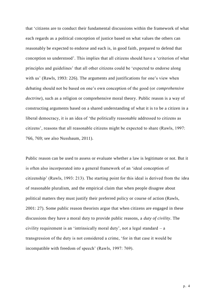that 'citizens are to conduct their fundamental discussions within the framework of what each regards as a political conception of justice based on what values the others can reasonably be expected to endorse and each is, in good faith, prepared to defend that conception so understood'. This implies that all citizens should have a 'criterion of what principles and guidelines' that all other citizens could be 'expected to endorse along with us' (Rawls, 1993: 226). The arguments and justifications for one's view when debating should not be based on one's own conception of the good (or *comprehensive doctrine*), such as a religion or comprehensive moral theory. Public reason is a way of constructing arguments based on a shared understanding of what it is to be a citizen in a liberal democracy, it is an idea of 'the politically reasonable addressed to citizens as citizens', reasons that all reasonable citizens might be expected to share (Rawls, 1997: 766, 769; see also Nussbaum, 2011).

Public reason can be used to assess or evaluate whether a law is legitimate or not. But it is often also incorporated into a general framework of an 'ideal conception of citizenship' (Rawls, 1993: 213). The starting point for this ideal is derived from the idea of reasonable pluralism, and the empirical claim that when people disagree about political matters they must justify their preferred policy or course of action (Rawls, 2001: 27). Some public reason theorists argue that when citizens are engaged in these discussions they have a moral duty to provide public reasons, a *duty of civility*. The civility requirement is an 'intrinsically moral duty', not a legal standard – a transgression of the duty is not considered a crime, 'for in that case it would be incompatible with freedom of speech' (Rawls, 1997: 769).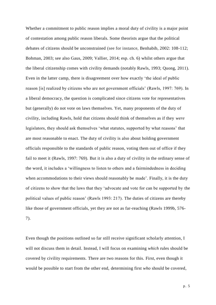Whether a commitment to public reason implies a moral duty of civility is a major point of contestation among public reason liberals. Some theorists argue that the political debates of citizens should be unconstrained (see for instance, Benhabib, 2002: 108-112; Bohman, 2003; see also Gaus, 2009; Vallier, 2014; esp. ch. 6) whilst others argue that the liberal citizenship comes with civility demands (notably Rawls, 1993; Quong, 2011). Even in the latter camp, there is disagreement over how exactly 'the ideal of public reason [is] realized by citizens who are not government officials' (Rawls, 1997: 769). In a liberal democracy, the question is complicated since citizens vote for representatives but (generally) do not vote on laws themselves. Yet, many proponents of the duty of civility, including Rawls, hold that citizens should think of themselves as if they *were*  legislators, they should ask themselves 'what statutes, supported by what reasons' that are most reasonable to enact. The duty of civility is also about holding government officials responsible to the standards of public reason, voting them out of office if they fail to meet it (Rawls, 1997: 769). But it is also a duty of civility in the ordinary sense of the word, it includes a 'willingness to listen to others and a fairmindedness in deciding when accommodations to their views should reasonably be made'. Finally, it is the duty of citizens to show that the laws that they 'advocate and vote for can be supported by the political values of public reason' (Rawls 1993: 217). The duties of citizens are thereby like those of government officials, yet they are not as far-reaching (Rawls 1999b, 576- 7).

Even though the positions outlined so far still receive significant scholarly attention, I will not discuss them in detail. Instead, I will focus on examining *which* rules should be covered by civility requirements. There are two reasons for this. First, even though it would be possible to start from the other end, determining first *who* should be covered,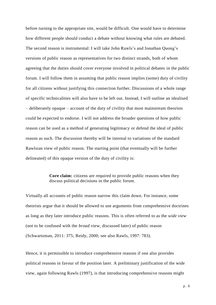before turning to the appropriate site, would be difficult. One would have to determine how different people should conduct a debate without knowing what rules are debated. The second reason is instrumental: I will take John Rawls's and Jonathan Quong's versions of public reason as representatives for two distinct strands, both of whom agreeing that the duties should cover everyone involved in political debates in the public forum. I will follow them in assuming that public reason implies (some) duty of civility for all citizens without justifying this connection further. Discussions of a whole range of specific technicalities will also have to be left out. Instead, I will outline an idealised – deliberately opaque – account of the duty of civility that most mainstream theorists could be expected to endorse. I will not address the broader questions of how public reason can be used as a method of generating legitimacy or defend the ideal of public reason as such. The discussion thereby will be internal to variations of the standard Rawlsian view of public reason. The starting point (that eventually will be further delineated) of this opaque version of the duty of civility is:

## **Core claim:** citizens are required to provide public reasons when they discuss political decisions in the public forum.

Virtually all accounts of public reason narrow this claim down. For instance, some theorists argue that it should be allowed to use arguments from comprehensive doctrines as long as they later introduce public reasons. This is often referred to as the *wide view* (not to be confused with the *broad* view, discussed later) of public reason (Schwartzman, 2011: 375; Reidy, 2000; see also Rawls, 1997: 783).

Hence, it is permissible to introduce comprehensive reasons if one also provides political reasons in favour of the position later. A preliminary justification of the wide view, again following Rawls (1997), is that introducing comprehensive reasons might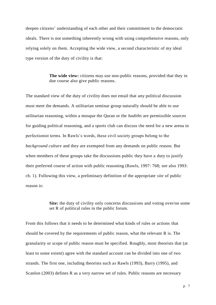deepen citizens' understanding of each other and their commitment to the democratic ideals. There is not something inherently wrong with using comprehensive reasons, only relying solely on them. Accepting the wide view, a second characteristic of my ideal type version of the duty of civility is that:

> The wide view: citizens may use non-public reasons, provided that they in due course also give public reasons.

The standard view of the duty of civility does not entail that *any* political discussion must meet the demands. A utilitarian seminar group naturally should be able to use utilitarian reasoning, within a mosque the Quran or the *hadiths* are permissible sources for guiding political reasoning, and a sports club can discuss the need for a new arena in perfectionist terms. In Rawls's words, these civil society groups belong to the *background culture* and they are exempted from any demands on public reason. But when members of these groups take the discussions public they have a duty to justify their preferred course of action with public reasoning (Rawls, 1997: 768; see also 1993: ch. 1). Following this view, a preliminary definition of the appropriate *site* of public reason is:

> **Site:** the duty of civility only concerns discussions and voting over/on some set R of political rules in the public forum.

From this follows that it needs to be determined what kinds of rules or actions that should be covered by the requirements of public reason, what the relevant R is. The granularity or scope of public reason must be specified. Roughly, most theorists that (at least to some extent) agree with the standard account can be divided into one of two strands. The first one, including theorists such as Rawls (1993), Barry (1995), and Scanlon (2003) defines R as a very narrow set of rules. Public reasons are necessary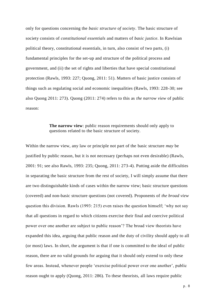only for questions concerning the *basic structure of society*. The basic structure of society consists of *constitutional essentials* and matters of *basic justice*. In Rawlsian political theory, constitutional essentials, in turn, also consist of two parts, (i) fundamental principles for the set-up and structure of the political process and government, and (ii) the set of rights and liberties that have special constitutional protection (Rawls, 1993: 227; Quong, 2011: 51). Matters of basic justice consists of things such as regulating social and economic inequalities (Rawls, 1993: 228-30; see also Quong 2011: 273). Quong (2011: 274) refers to this as *the narrow view* of public reason:

# **The narrow view**: public reason requirements should only apply to questions related to the basic structure of society.

Within the narrow view, any law or principle not part of the basic structure *may* be justified by public reason, but it is not necessary (perhaps not even desirable) (Rawls, 2001: 91; see also Rawls, 1993: 235; Quong, 2011: 273-4). Putting aside the difficulties in separating the basic structure from the rest of society, I will simply assume that there are two distinguishable kinds of cases within the narrow view; basic structure questions (covered) and non-basic structure questions (not covered). Proponents of *the broad view* question this division. Rawls (1993: 215) even raises the question himself; 'why not say that all questions in regard to which citizens exercise their final and coercive political power over one another are subject to public reason'? The broad view theorists have expanded this idea, arguing that public reason and the duty of civility should apply to all (or most) laws. In short, the argument is that if one is committed to the ideal of public reason, there are no valid grounds for arguing that it should only extend to only these few areas. Instead, whenever people 'exercise political power over one another', public reason ought to apply (Quong, 2011: 286). To these theorists, all laws require public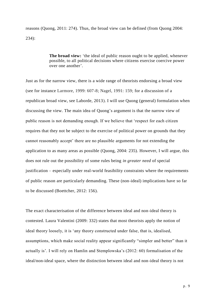reasons (Quong, 2011: 274). Thus, the broad view can be defined (from Quong 2004: 234):

> **The broad view:** 'the ideal of public reason ought to be applied, whenever possible, to all political decisions where citizens exercise coercive power over one another'.

Just as for the narrow view, there is a wide range of theorists endorsing a broad view (see for instance Larmore, 1999: 607-8; Nagel, 1991: 159; for a discussion of a republican broad view, see Laborde, 2013). I will use Quong (general) formulation when discussing the view. The main idea of Quong's argument is that the narrow view of public reason is not demanding enough. If we believe that 'respect for each citizen requires that they not be subject to the exercise of political power on grounds that they cannot reasonably accept' there are no plausible arguments for not extending the application to as many areas as possible (Quong, 2004: 235). However, I will argue, this does not rule out the possibility of some rules being *in greater need* of special justification – especially under real-world feasibility constraints where the requirements of public reason are particularly demanding. These (non-ideal) implications have so far to be discussed (Boettcher, 2012: 156).

The exact characterisation of the difference between ideal and non-ideal theory is contested. Laura Valentini (2009: 332) states that most theorists apply the notion of ideal theory loosely, it is 'any theory constructed under false, that is, idealised, assumptions, which make social reality appear significantly "simpler and better" than it actually is'. I will rely on Hamlin and Stemplowska's (2012: 60) formalisation of the ideal/non-ideal space, where the distinction between ideal and non-ideal theory is not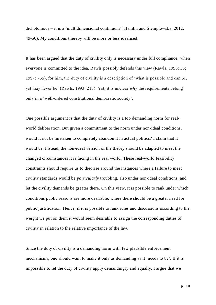dichotomous – it is a 'multidimensional continuum' (Hamlin and Stemplowska, 2012: 49-50). My conditions thereby will be more or less idealised.

It has been argued that the duty of civility only is necessary under full compliance, when everyone is committed to the idea. Rawls possibly defends this view (Rawls, 1993: 35; 1997: 765), for him, the duty of civility is a description of 'what is possible and can be, yet may never be' (Rawls, 1993: 213). Yet, it is unclear *why* the requirements belong only in a 'well-ordered constitutional democratic society'.

One possible argument is that the duty of civility is a too demanding norm for realworld deliberation. But given a commitment to the norm under non-ideal conditions, would it not be mistaken to completely abandon it in actual politics? I claim that it would be. Instead, the non-ideal version of the theory should be adapted to meet the changed circumstances it is facing in the real world. These real-world feasibility constraints should require us to theorise around the instances where a failure to meet civility standards would be *particularly* troubling, also under non-ideal conditions, and let the civility demands be greater there. On this view, it is possible to rank under which conditions public reasons are more desirable, where there should be a greater need for public justification. Hence, if it is possible to rank rules and discussions according to the weight we put on them it would seem desirable to assign the corresponding duties of civility in relation to the relative importance of the law.

Since the duty of civility is a demanding norm with few plausible enforcement mechanisms, one should want to make it only as demanding as it 'needs to be'. If it is impossible to let the duty of civility apply demandingly and equally, I argue that we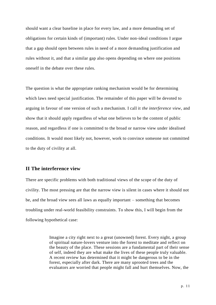should want a clear baseline in place for every law, and a more demanding set of obligations for certain kinds of (important) rules. Under non-ideal conditions I argue that a gap should open between rules in need of a more demanding justification and rules without it, and that a similar gap also opens depending on where one positions oneself in the debate over these rules.

The question is what the appropriate ranking mechanism would be for determining which laws need special justification. The remainder of this paper will be devoted to arguing in favour of one version of such a mechanism. I call it *the interference view*, and show that it should apply regardless of what one believes to be the content of public reason, and regardless if one is committed to the broad or narrow view under idealised conditions. It would most likely not, however, work to convince someone not committed to the duty of civility at all.

# **II The interference view**

There are specific problems with both traditional views of the scope of the duty of civility. The most pressing are that the narrow view is silent in cases where it should not be, and the broad view sees all laws as equally important – something that becomes troubling under real-world feasibility constraints. To show this, I will begin from the following hypothetical case:

> Imagine a city right next to a great (unowned) forest. Every night, a group of spiritual nature-lovers venture into the forest to meditate and reflect on the beauty of the place. These sessions are a fundamental part of their sense of self, indeed they are what make the lives of these people truly valuable. A recent review has determined that it might be dangerous to be in the forest, especially after dark. There are many uprooted trees and the evaluators are worried that people might fall and hurt themselves. Now, the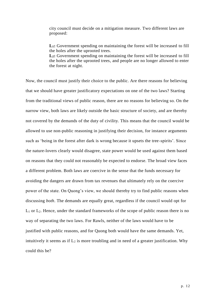city council must decide on a mitigation measure. Two different laws are proposed:

**L1:** Government spending on maintaining the forest will be increased to fill the holes after the uprooted trees.

L<sub>2</sub>: Government spending on maintaining the forest will be increased to fill the holes after the uprooted trees, and people are no longer allowed to enter the forest at night.

Now, the council must justify their choice to the public. Are there reasons for believing that we should have greater justificatory expectations on one of the two laws? Starting from the traditional views of public reason, there are no reasons for believing so. On the narrow view, both laws are likely outside the basic structure of society, and are thereby not covered by the demands of the duty of civility. This means that the council would be allowed to use non-public reasoning in justifying their decision, for instance arguments such as 'being in the forest after dark is wrong because it upsets the tree-spirits'. Since the nature-lovers clearly would disagree, state power would be used against them based on reasons that they could not reasonably be expected to endorse. The broad view faces a different problem. Both laws are coercive in the sense that the funds necessary for avoiding the dangers are drawn from tax revenues that ultimately rely on the coercive power of the state. On Quong's view, we should thereby try to find public reasons when discussing *both*. The demands are equally great, regardless if the council would opt for  $L_1$  or  $L_2$ . Hence, under the standard frameworks of the scope of public reason there is no way of separating the two laws. For Rawls, neither of the laws would have to be justified with public reasons, and for Quong both would have the same demands. Yet, intuitively it seems as if  $L_2$  is more troubling and in need of a greater justification. Why could this be?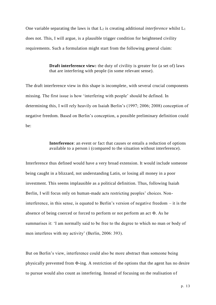One variable separating the laws is that  $L_2$  is creating additional *interference* whilst  $L_1$ does not. This, I will argue, is a plausible trigger condition for heightened civility requirements. Such a formulation might start from the following general claim:

> **Draft interference view:** the duty of civility is greater for (a set of) laws that are interfering with people (in some relevant sense).

The draft interference view in this shape is incomplete, with several crucial components missing. The first issue is how 'interfering with people' should be defined. In determining this, I will rely heavily on Isaiah Berlin's (1997; 2006; 2008) conception of negative freedom. Based on Berlin's conception, a possible preliminary definition could  $he<sup>+</sup>$ 

> **Interference**: an event or fact that causes or entails a reduction of options available to a person i (compared to the situation without interference).

Interference thus defined would have a very broad extension. It would include someone being caught in a blizzard, not understanding Latin, or losing all money in a poor investment. This seems implausible as a political definition. Thus, following Isaiah Berlin, I will focus only on human-made acts restricting peoples' choices. Noninterference, in this sense, is equated to Berlin's version of negative freedom – it is the absence of being coerced or forced to perform or not perform an act Φ. As he summarises it: 'I am normally said to be free to the degree to which no man or body of men interferes with my activity' (Berlin, 2006: 393).

But on Berlin's view, interference could also be more abstract than someone being physically prevented from Φ**-**ing. A restriction of the options that the agent has no desire to pursue would also count as interfering. Instead of focusing on the realisation of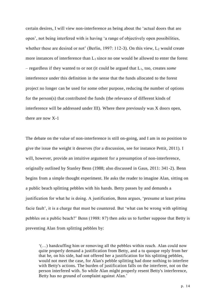certain desires, I will view non-interference as being about the 'actual doors that are open', not being interfered with is having 'a range of objectively open possibilities, whether these are desired or not' (Berlin, 1997: 112-3). On this view,  $L_2$  would create more instances of interference than  $L_1$  since no one would be allowed to enter the forest – regardless if they wanted to or not (it could be argued that L1, too, creates *some*  interference under this definition in the sense that the funds allocated to the forest project no longer can be used for some other purpose, reducing the number of options for the person(s) that contributed the funds (the relevance of different kinds of interference will be addressed under III). Where there previously was X doors open, there are now X-1

The debate on the value of non-interference is still on-going, and I am in no position to give the issue the weight it deserves (for a discussion, see for instance Pettit, 2011). I will, however, provide an intuitive argument for a presumption of non-interference, originally outlined by Stanley Benn (1988; also discussed in Gaus, 2011: 341-2). Benn begins from a simple thought experiment. He asks the reader to imagine Alan, sitting on a public beach splitting pebbles with his hands. Betty passes by and demands a justification for what he is doing. A justification, Benn argues, 'presume at least prima facie fault', it is a charge that must be countered. But 'what can be wrong with splitting pebbles on a public beach?' Benn (1988: 87) then asks us to further suppose that Betty is preventing Alan from splitting pebbles by:

'(…) handcuffing him or removing all the pebbles within reach. Alan could now quite properly demand a justification from Betty, and a tu quoque reply from her that he, on his side, had not offered her a justification for his splitting pebbles, would not meet the case, for Alan's pebble splitting had done nothing to interfere with Betty's actions. The burden of justification falls on the interferer, not on the person interfered with. So while Alan might properly resent Betty's interference, Betty has no ground of complaint against Alan.'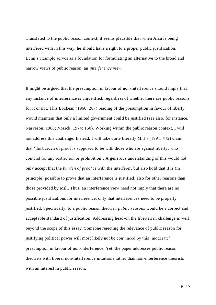Translated to the public reason context, it seems plausible that when Alan is being interfered with in this way, he should have a right to a proper public justification. Benn's example serves as a foundation for formulating an alternative to the broad and narrow views of public reason: an *interference view*.

It might be argued that the presumption in favour of non-interference should imply that any instance of interference is unjustified, regardless of whether there are public reasons for it or not. This Lockean (1960: 287) reading of the presumption in favour of liberty would maintain that only a limited government could be justified (see also, for instance, Narveson, 1988; Nozick, 1974: 160). Working within the public reason context, I will not address this challenge. Instead, I will take quite literally Mill's (1991: 472) claim that 'the burden of proof is supposed to be with those who are against liberty; who contend for any restriction or prohibition'. A generous understanding of this would not only accept that the *burden of proof* is with the interferer, but also hold that it is (in principle) possible to prove that an interference is justified, also for other reasons than those provided by Mill. Thus, an interference view need not imply that there are no possible justifications for interference, only that interferences need to be properly justified. Specifically, to a public reason theorist, *public reasons* would be a correct and acceptable standard of justification. Addressing head-on the libertarian challenge is well beyond the scope of this essay. Someone rejecting the relevance of public reason for justifying political power will most likely not be convinced by this 'moderate' presumption in favour of non-interference. Yet, the paper addresses public reason theorists with liberal non-interference intuitions rather than non-interference theorists with an interest in public reason.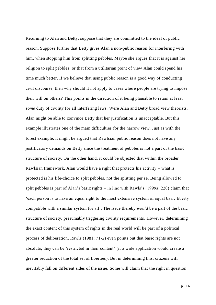Returning to Alan and Betty, suppose that they are committed to the ideal of public reason. Suppose further that Betty gives Alan a non-public reason for interfering with him, when stopping him from splitting pebbles. Maybe she argues that it is against her religion to split pebbles, or that from a utilitarian point of view Alan could spend his time much better. If we believe that using public reason is a good way of conducting civil discourse, then why should it not apply to cases where people are trying to impose their will on others? This points in the direction of it being plausible to retain at least *some* duty of civility for all interfering laws. Were Alan and Betty broad view theorists, Alan might be able to convince Betty that her justification is unacceptable. But this example illustrates one of the main difficulties for the narrow view. Just as with the forest example, it might be argued that Rawlsian public reason does not have any justificatory demands on Betty since the treatment of pebbles is not a part of the basic structure of society. On the other hand, it could be objected that within the broader Rawlsian framework, Alan would have a right that protects his activity – what is protected is his life-choice to split pebbles, not the splitting per se. Being allowed to split pebbles is part of Alan's basic rights – in line with Rawls's (1999a: 220) claim that 'each person is to have an equal right to the most extensive system of equal basic liberty compatible with a similar system for all'. The issue thereby *would* be a part of the basic structure of society, presumably triggering civility requirements. However, determining the exact content of this system of rights in the real world will be part of a political process of deliberation. Rawls (1981: 71-2) even points out that basic rights are not absolute, they can be 'restricted in their content' (if a wide application would create a greater reduction of the total set of liberties). But in determining this, citizens will inevitably fall on different sides of the issue. Some will claim that the right in question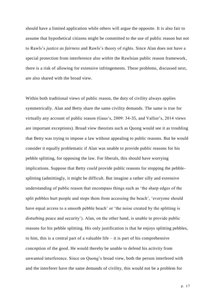should have a limited application while others will argue the opposite. It is also fair to assume that hypothetical citizens might be committed to the use of public reason but not to Rawls's *justice as fairness* and Rawls's theory of rights. Since Alan does not have a special protection from interference also *within* the Rawlsian public reason framework, there is a risk of allowing for extensive infringements. These problems, discussed next, are also shared with the broad view.

Within both traditional views of public reason, the duty of civility always applies symmetrically. Alan and Betty share the same civility demands. The same is true for virtually any account of public reason (Gaus's, 2009: 34-35, and Vallier's, 2014 views are important exceptions). Broad view theorists such as Quong would see it as troubling that Betty was trying to impose a law without appealing to public reasons. But he would consider it equally problematic if Alan was unable to provide public reasons for his pebble splitting, for opposing the law. For liberals, this should have worrying implications. Suppose that Betty *could* provide public reasons for stopping the pebblesplitting (admittingly, it might be difficult. But imagine a rather silly and extensive understanding of public reason that encompass things such as 'the sharp edges of the split pebbles hurt people and stops them from accessing the beach', 'everyone should have equal access to a smooth pebble beach' or 'the noise created by the splitting is disturbing peace and security'). Alan, on the other hand, is unable to provide public reasons for his pebble splitting. His only justification is that he enjoys splitting pebbles, to him, this is a central part of a valuable life  $-$  it is part of his comprehensive conception of the good. He would thereby be unable to defend his activity from unwanted interference. Since on Quong's broad view, both the person interfered with and the interferer have the same demands of civility, this would not be a problem for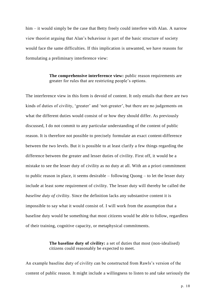him – it would simply be the case that Betty freely could interfere with Alan. A narrow view theorist arguing that Alan's behaviour *is* part of the basic structure of society would face the same difficulties. If this implication is unwanted, we have reasons for formulating a preliminary interference view:

> **The comprehensive interference view:** public reason requirements are greater for rules that are restricting people's options.

The interference view in this form is devoid of content. It only entails that there are two kinds of duties of civility, 'greater' and 'not-greater', but there are no judgements on what the different duties would consist of or how they should differ. As previously discussed, I do not commit to any particular understanding of the content of public reason. It is therefore not possible to precisely formulate an exact content-difference between the two levels. But it is possible to at least clarify a few things regarding the difference between the greater and lesser duties of civility. First off, it would be a mistake to see the lesser duty of civility as no duty at all. With an a priori commitment to public reason in place, it seems desirable – following Quong – to let the lesser duty include at least *some* requirement of civility. The lesser duty will thereby be called the *baseline duty of* civility. Since the definition lacks any substantive content it is impossible to say what it would consist of. I will work from the assumption that a baseline duty would be something that most citizens would be able to follow, regardless of their training, cognitive capacity, or metaphysical commitments.

> **The baseline duty of civility:** a set of duties that most (non-idealised) citizens could reasonably be expected to meet.

An example baseline duty of civility can be constructed from Rawls's version of the content of public reason. It might include a willingness to listen to and take seriously the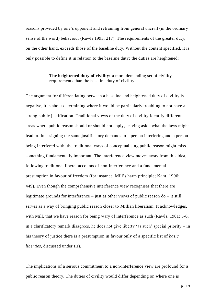reasons provided by one's opponent and refraining from general uncivil (in the ordinary sense of the word) behaviour (Rawls 1993: 217). The requirements of the greater duty, on the other hand, exceeds those of the baseline duty. Without the content specified, it is only possible to define it in relation to the baseline duty; the duties are heightened:

> **The heightened duty of civility:** a more demanding set of civility requirements than the baseline duty of civility.

The argument for differentiating between a baseline and heightened duty of civility is negative, it is about determining where it would be particularly troubling to not have a strong public justification. Traditional views of the duty of civility identify different areas where public reason should or should not apply, leaving aside what the laws might lead to. In assigning the same justificatory demands to a person interfering and a person being interfered with, the traditional ways of conceptualising public reason might miss something fundamentally important. The interference view moves away from this idea, following traditional liberal accounts of non-interference and a fundamental presumption in favour of freedom (for instance, Mill's harm principle; Kant, 1996: 449). Even though the comprehensive interference view recognises that there are legitimate grounds for interference – just as other views of public reason do – it still serves as a way of bringing public reason closer to Millian liberalism. It acknowledges, with Mill, that we have reason for being wary of interference as such (Rawls, 1981: 5-6, in a clarificatory remark disagrees, he does not give liberty 'as such' special priority – in his theory of justice there is a presumption in favour only of a specific list of *basic liberties*, discussed under III).

The implications of a serious commitment to a non-interference view are profound for a public reason theory. The duties of civility would differ depending on where one is

p. 19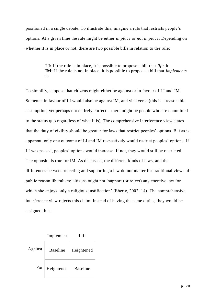positioned in a single debate. To illustrate this, imagine a rule that restricts people's options. At a given time the rule might be either *in place* or *not in place*. Depending on whether it is in place or not, there are two possible bills in relation to the rule:

> **LI:** If the rule is in place, it is possible to propose a bill that *lifts* it. **IM:** If the rule is not in place, it is possible to propose a bill that *implements*  it.

To simplify, suppose that citizens might either be against or in favour of LI and IM. Someone in favour of LI would also be against IM, and vice versa (this is a reasonable assumption, yet perhaps not entirely correct – there might be people who are committed to the status quo regardless of what it is). The comprehensive interference view states that the duty of civility should be greater for laws that restrict peoples' options. But as is apparent, only one outcome of LI and IM respectively would restrict peoples' options. If LI was passed, peoples' options would increase. If not, they would still be restricted. The opposite is true for IM. As discussed, the different kinds of laws, and the differences between rejecting and supporting a law do not matter for traditional views of public reason liberalism; citizens ought not 'support (or reject) any coercive law for which she enjoys only a religious justification' (Eberle, 2002: 14). The comprehensive interference view rejects this claim. Instead of having the same duties, they would be assigned thus:

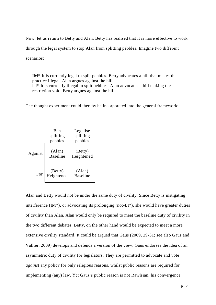Now, let us return to Betty and Alan. Betty has realised that it is more effective to work through the legal system to stop Alan from splitting pebbles. Imagine two different scenarios:

**IM\*** It is currently legal to split pebbles. Betty advocates a bill that makes the practice illegal. Alan argues against the bill. **LI\*** It is currently illegal to split pebbles. Alan advocates a bill making the restriction void. Betty argues against the bill.

The thought experiment could thereby be incorporated into the general framework:



Alan and Betty would not be under the same duty of civility. Since Betty is instigating interference (IM\*), or advocating its prolonging (not-LI\*), she would have greater duties of civility than Alan. Alan would only be required to meet the baseline duty of civility in the two different debates. Betty, on the other hand would be expected to meet a more extensive civility standard. It could be argued that Gaus (2009, 29-31; see also Gaus and Vallier, 2009) develops and defends a version of the view. Gaus endorses the idea of an asymmetric duty of civility for legislators. They are permitted to advocate and vote *against* any policy for only religious reasons, whilst public reasons are required for implementing (any) law. Yet Gaus's public reason is not Rawlsian, his convergence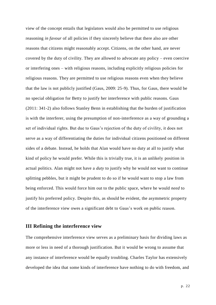view of the concept entails that legislators would also be permitted to use religious reasoning *in favour* of all policies if they sincerely believe that there also are other reasons that citizens might reasonably accept. Citizens, on the other hand, are never covered by the duty of civility. They are allowed to advocate any policy – even coercive or interfering ones – with religious reasons, including explicitly religious policies for religious reasons. They are permitted to use religious reasons even when they believe that the law is not publicly justified (Gaus, 2009: 25-9). Thus, for Gaus, there would be no special obligation for Betty to justify her interference with public reasons. Gaus (2011: 341-2) also follows Stanley Benn in establishing that the burden of justification is with the interferer, using the presumption of non-interference as a way of grounding a set of individual rights. But due to Gaus's rejection of the duty of civility, it does not serve as a way of differentiating the duties for individual citizens positioned on different sides of a debate. Instead, he holds that Alan would have no duty at all to justify what kind of policy he would prefer. While this is trivially true, it is an unlikely position in actual politics. Alan might not have a *duty* to justify why he would not want to continue splitting pebbles, but it might be prudent to do so if he would want to stop a law from being enforced. This would force him out to the public space, where he would *need* to justify his preferred policy. Despite this, as should be evident, the asymmetric property of the interference view owes a significant debt to Gaus's work on public reason.

# **III Refining the interference view**

The comprehensive interference view serves as a preliminary basis for dividing laws as more or less in need of a thorough justification. But it would be wrong to assume that any instance of interference would be equally troubling. Charles Taylor has extensively developed the idea that some kinds of interference have nothing to do with freedom, and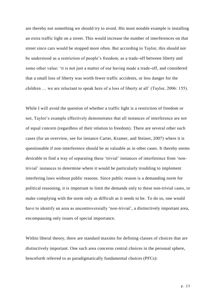are thereby not something we should try to avoid. His most notable example is installing an extra traffic light on a street. This would increase the number of interferences on that street since cars would be stopped more often. But according to Taylor, this should not be understood as a restriction of people's freedom, as a trade-off between liberty and some other value: 'it is not just a matter of our having made a trade-off, and considered that a small loss of liberty was worth fewer traffic accidents, or less danger for the children … we are reluctant to speak here of a loss of liberty at all' (Taylor, 2006: 155).

While I will avoid the question of whether a traffic light is a restriction of freedom or not, Taylor's example effectively demonstrates that all instances of interference are not of equal concern (regardless of their relation to freedom). There are several other such cases (for an overview, see for instance Carter, Kramer, and Steiner, 2007) where it is questionable if non-interference should be as valuable as in other cases. It thereby seems desirable to find a way of separating these 'trivial' instances of interference from 'nontrivial' instances to determine where it would be particularly troubling to implement interfering laws without public reasons. Since public reason is a demanding norm for political reasoning, it is important to limit the demands only to these non-trivial cases, to make complying with the norm only as difficult as it needs to be. To do so, one would have to identify an area as uncontroversially 'non-trivial', a distinctively important area, encompassing only issues of special importance.

Within liberal theory, there are standard maxims for defining classes of choices that are distinctively important. One such area concerns central choices in the personal sphere, henceforth referred to as paradigmatically fundamental choices (PFCs):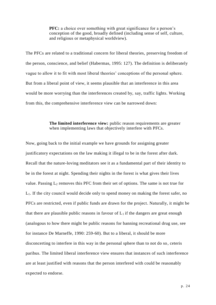**PFC:** a choice over something with great significance for a person's conception of the good, broadly defined (including sense of self, culture, and religious or metaphysical worldview).

The PFCs are related to a traditional concern for liberal theories, preserving freedom of the person, conscience, and belief (Habermas, 1995: 127). The definition is deliberately vague to allow it to fit with most liberal theories' conceptions of the personal sphere. But from a liberal point of view, it seems plausible that an interference in this area would be more worrying than the interferences created by, say, traffic lights. Working from this, the comprehensive interference view can be narrowed down:

# **The limited interference view:** public reason requirements are greater when implementing laws that objectively interfere with PFCs.

Now, going back to the initial example we have grounds for assigning greater justificatory expectations on the law making it illegal to be in the forest after dark. Recall that the nature-loving meditators see it as a fundamental part of their identity to be in the forest at night. Spending their nights in the forest is what gives their lives value. Passing  $L_2$  removes this PFC from their set of options. The same is not true for L1. If the city council would decide only to spend money on making the forest safer, no PFCs are restricted, even if public funds are drawn for the project. Naturally, it might be that there are plausible public reasons in favour of  $L_1$  if the dangers are great enough (analogous to how there might be public reasons for banning recreational drug use, see for instance De Marneffe, 1990: 259-60). But to a liberal, it should be more disconcerting to interfere in this way in the personal sphere than to not do so, ceteris paribus. The limited liberal interference view ensures that instances of such interference are at least justified with reasons that the person interfered with could be reasonably expected to endorse.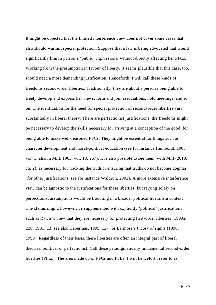It might be objected that the limited interference view does not cover some cases that also should warrant special protection. Suppose that a law is being advocated that would significantly limit a person's 'public' expressions, without directly affecting her PFCs. Working from the presumption in favour of liberty, it seems plausible that this case, too, should need a more demanding justification. Henceforth, I will call these kinds of freedoms second-order liberties. Traditionally, they are about a person i being able to freely develop and express her views, form and join associations, hold meetings, and so on. The justification for the need for special protection of second-order liberties vary substantially in liberal theory. There are perfectionist justifications, the freedoms might be necessary to develop the skills necessary for arriving at a conception of the good, for being able to make well-reasoned PFCs. They might be essential for things such as character development and moral-political education (see for instance Humboldt, 1903 vol. 1; also in Mill, 1963, vol. 18: 267). It is also possible to see them, with Mill (2010: ch. 2), as necessary for tracking the truth or ensuring that truths do not become dogmas (for other justifications, see for instance Waldron, 2002). A more extensive interference view can be agnostic to the justifications for these liberties, but relying solely on perfectionist assumptions would be troubling in a broader political liberalism context. The claims might, however, be supplemented with explicitly 'political' justifications such as Rawls's view that they are necessary for protecting first-order liberties (1999a: 220; 1981: 13; see also Habermas, 1995: 127) or Larmore's theory of rights (1996; 1999). Regardless of their basis, these liberties are often an integral part of liberal theories, political or perfectionist. Call these paradigmatically fundamental second-order liberties (PFLs). The area made up of PFCs and PFLs, I will henceforth refer to as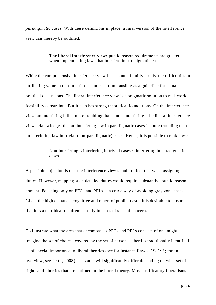*paradigmatic cases*. With these definitions in place, a final version of the interference view can thereby be outlined:

### **The liberal interference view:** public reason requirements are greater when implementing laws that interfere in paradigmatic cases.

While the comprehensive interference view has a sound intuitive basis, the difficulties in attributing value to non-interference makes it implausible as a guideline for actual political discussions. The liberal interference view is a pragmatic solution to real-world feasibility constraints. But it also has strong theoretical foundations. On the interference view, an interfering bill is more troubling than a non-interfering. The liberal interference view acknowledges that an interfering law in paradigmatic cases is more troubling than an interfering law in trivial (non-paradigmatic) cases. Hence, it is possible to rank laws:

> Non-interfering < interfering in trivial cases < interfering in paradigmatic cases.

A possible objection is that the interference view should reflect this when assigning duties. However, mapping such detailed duties would require substantive public reason content. Focusing only on PFCs and PFLs is a crude way of avoiding grey zone cases. Given the high demands, cognitive and other, of public reason it is desirable to ensure that it is a non-ideal requirement only in cases of special concern.

To illustrate what the area that encompasses PFCs and PFLs consists of one might imagine the set of choices covered by the set of personal liberties traditionally identified as of special importance in liberal theories (see for instance Rawls, 1981: 5; for an overview, see Pettit, 2008). This area will significantly differ depending on what set of rights and liberties that are outlined in the liberal theory. Most justificatory liberalisms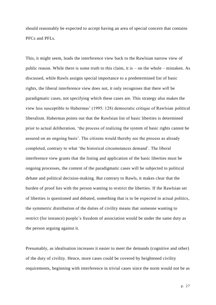should reasonably be expected to accept having an area of special concern that contains PFCs and PFLs.

This, it might seem, leads the interference view back to the Rawlsian narrow view of public reason. While there is some truth to this claim, it is – on the whole – mistaken. As discussed, while Rawls assigns special importance to a predetermined list of basic rights, the liberal interference view does not, it only recognises that there *will* be paradigmatic cases, not specifying which these cases are. This strategy also makes the view less susceptible to Habermas' (1995: 128) democratic critique of Rawlsian political liberalism. Habermas points out that the Rawlsian list of basic liberties is determined prior to actual deliberation, 'the process of realizing the system of basic rights cannot be assured on an ongoing basis'. The citizens would thereby see the process as already completed, contrary to what 'the historical circumstances demand'. The liberal interference view grants that the listing and application of the basic liberties must be ongoing processes, the content of the paradigmatic cases will be subjected to political debate and political decision-making. But contrary to Rawls, it makes clear that the burden of proof lies with the person wanting to restrict the liberties. If the Rawlsian set of liberties is questioned and debated, something that is to be expected in actual politics, the symmetric distribution of the duties of civility means that someone wanting to restrict (for instance) people's freedom of association would be under the same duty as the person arguing against it.

Presumably, as idealisation increases it easier to meet the demands (cognitive and other) of the duty of civility. Hence, more cases could be covered by heightened civility requirements, beginning with interference in trivial cases since the norm would not be as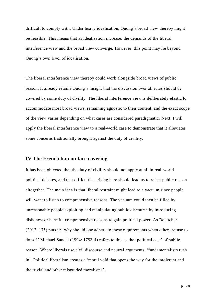difficult to comply with. Under heavy idealisation, Quong's broad view thereby might be feasible. This means that as idealisation increase, the demands of the liberal interference view and the broad view converge. However, this point may lie beyond Quong's own level of idealisation.

The liberal interference view thereby could work alongside broad views of public reason. It already retains Quong's insight that the discussion over all rules should be covered by some duty of civility. The liberal interference view is deliberately elastic to accommodate most broad views, remaining agnostic to their content, and the exact scope of the view varies depending on what cases are considered paradigmatic. Next, I will apply the liberal interference view to a real-world case to demonstrate that it alleviates some concerns traditionally brought against the duty of civility.

### **IV The French ban on face covering**

It has been objected that the duty of civility should not apply at all in real-world political debates, and that difficulties arising here should lead us to reject public reason altogether. The main idea is that liberal restraint might lead to a vacuum since people will want to listen to comprehensive reasons. The vacuum could then be filled by unreasonable people exploiting and manipulating public discourse by introducing dishonest or harmful comprehensive reasons to gain political power. As Boettcher (2012: 175) puts it: 'why should one adhere to these requirements when others refuse to do so?' Michael Sandel (1994: 1793-4) refers to this as the 'political cost' of public reason. Where liberals use civil discourse and neutral arguments, 'fundamentalists rush in'. Political liberalism creates a 'moral void that opens the way for the intolerant and the trivial and other misguided moralisms',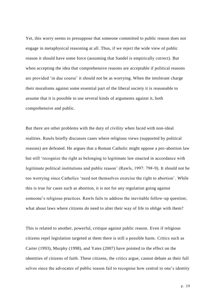Yet, this worry seems to presuppose that someone committed to public reason does not engage in metaphysical reasoning at all. Thus, if we reject the wide view of public reason it should have some force (assuming that Sandel is empirically correct). But when accepting the idea that comprehensive reasons are acceptable if political reasons are provided 'in due course' it should not be as worrying. When the intolerant charge their moralisms against some essential part of the liberal society it is reasonable to assume that it is possible to use several kinds of arguments against it, both comprehensive and public.

But there are other problems with the duty of civility when faced with non-ideal realities. Rawls briefly discusses cases where religious views (supported by political reasons) are defeated. He argues that a Roman Catholic might oppose a pro-abortion law but still 'recognize the right as belonging to legitimate law enacted in accordance with legitimate political institutions and public reason' (Rawls, 1997: 798-9). It should not be too worrying since Catholics 'need not themselves exercise the right to abortion'. While this is true for cases such as abortion, it is not for any regulation going against someone's religious practices. Rawls fails to address the inevitable follow-up question; what about laws where citizens *do* need to alter their way of life to oblige with them?

This is related to another, powerful, critique against public reason. Even if religious citizens repel legislation targeted at them there is still a possible harm. Critics such as Carter (1993), Murphy (1998), and Yates (2007) have pointed to the effect on the identities of citizens of faith. These citizens, the critics argue, cannot debate as their full selves since the advocates of public reason fail to recognise how central to one's identity

p. 29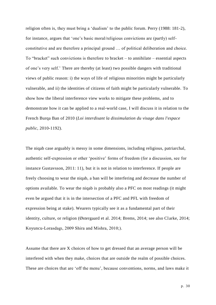religion often is, they must bring a 'dualism' to the public forum. Perry (1988: 181-2), for instance, argues that 'one's basic moral/religious convictions are (partly) selfconstitutive and are therefore a principal ground … of political deliberation and choice. To "bracket" such convictions is therefore to bracket – to annihilate – essential aspects of one's very self.' There are thereby (at least) two possible dangers with traditional views of public reason: i) the ways of life of religious minorities might be particularly vulnerable, and ii) the identities of citizens of faith might be particularly vulnerable. To show how the liberal interference view works to mitigate these problems, and to demonstrate how it can be applied to a real-world case, I will discuss it in relation to the French Burqa Ban of 2010 (*Loi interdisant la dissimulation du visage dans l'espace public*, 2010-1192).

The niqab case arguably is messy in some dimensions, including religious, patriarchal, authentic self-expression or other 'positive' forms of freedom (for a discussion, see for instance Gustavsson, 2011: 11), but it is not in relation to interference. If people are freely choosing to wear the niqab, a ban will be interfering and decrease the number of options available. To wear the niqab is probably also a PFC on most readings (it might even be argued that it is in the intersection of a PFC and PFL with freedom of expression being at stake). Wearers typically see it as a fundamental part of their identity, culture, or religion (Østergaard et al. 2014; Brems, 2014; see also Clarke, 2014; Koyuncu-Lorasdagı, 2009 Shira and Mishra, 2010;).

Assume that there are X choices of how to get dressed that an average person will be interfered with when they make, choices that are outside the realm of possible choices. These are choices that are 'off the menu', because conventions, norms, and laws make it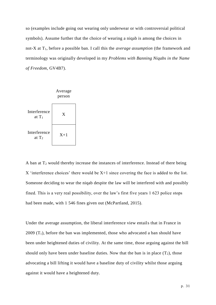so (examples include going out wearing only underwear or with controversial political symbols). Assume further that the choice of wearing a niqab is among the choices in not-X at T1, before a possible ban. I call this the *average assumption* (the framework and terminology was originally developed in my *Problems with Banning Niqabs in the Name of Freedom*, GV4B7).



A ban at  $T_2$  would thereby increase the instances of interference. Instead of there being  $X$  'interference choices' there would be  $X+1$  since covering the face is added to the list. Someone deciding to wear the niqab despite the law will be interfered with and possibly fined. This is a very real possibility, over the law's first five years 1 623 police stops had been made, with 1 546 fines given out (McPartland, 2015).

Under the average assumption, the liberal interference view entails that in France in 2009  $(T_1)$ , before the ban was implemented, those who advocated a ban should have been under heightened duties of civility. At the same time, those arguing against the bill should only have been under baseline duties. Now that the ban is in place  $(T_2)$ , those advocating a bill lifting it would have a baseline duty of civility whilst those arguing against it would have a heightened duty.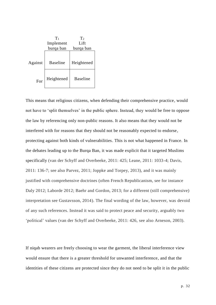

This means that religious citizens, when defending their comprehensive practice, would not have to 'split themselves' in the public sphere. Instead, they would be free to oppose the law by referencing only non-public reasons. It also means that they would not be interfered with for reasons that they should not be reasonably expected to endorse, protecting against both kinds of vulnerabilities. This is not what happened in France. In the debates leading up to the Burqa Ban, it was made explicit that it targeted Muslims specifically (van der Schyff and Overbeeke, 2011: 425; Leane, 2011: 1033-4; Davis, 2011: 136-7; see also Parvez, 2011; Joppke and Torpey, 2013), and it was mainly justified with comprehensive doctrines (often French Republicanism, see for instance Daly 2012; Laborde 2012; Baehr and Gordon, 2013; for a different (still comprehensive) interpretation see Gustavsson, 2014). The final wording of the law, however, was devoid of any such references. Instead it was said to protect peace and security, arguably two 'political' values (van der Schyff and Overbeeke, 2011: 426, see also Arneson, 2003).

If niqab wearers are freely choosing to wear the garment, the liberal interference view would ensure that there is a greater threshold for unwanted interference, and that the identities of these citizens are protected since they do not need to be split it in the public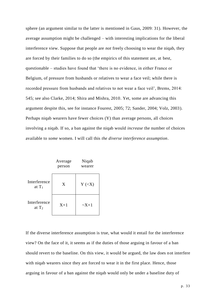sphere (an argument similar to the latter is mentioned in Gaus, 2009: 31). However, the average assumption might be challenged – with interesting implications for the liberal interference view. Suppose that people are *not* freely choosing to wear the niqab, they are forced by their families to do so (the empirics of this statement are, at best, questionable – studies have found that 'there is no evidence, in either France or Belgium, of pressure from husbands or relatives to wear a face veil; while there is recorded pressure from husbands and relatives to not wear a face veil', Brems, 2014: 545; see also Clarke, 2014; Shira and Mishra, 2010. Yet, some are advancing this argument despite this, see for instance Fourest, 2005; 72; Sander, 2004; Volz, 2003). Perhaps niqab wearers have fewer choices (Y) than average persons, all choices involving a niqab. If so, a ban against the niqab would *increase* the number of choices available to *some* women. I will call this *the diverse interference assumption*.

|                          | Average<br>person | Niqab<br>wearer                      |
|--------------------------|-------------------|--------------------------------------|
| Interference<br>at $T_1$ | X                 | $Y \left( \langle X \rangle \right)$ |
| Interference<br>at $T_2$ | $X+1$             | $\sim$ X+1                           |

If the diverse interference assumption is true, what would it entail for the interference view? On the face of it, it seems as if the duties of those arguing in favour of a ban should revert to the baseline. On this view, it would be argued, the law does not interfere with niqab wearers since they are forced to wear it in the first place. Hence, those arguing in favour of a ban against the niqab would only be under a baseline duty of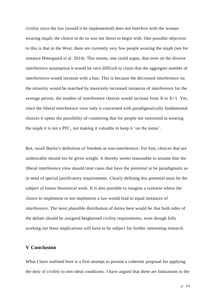civility since the law (would it be implemented) does not interfere with the women wearing niqab; the choice to do so was not theirs to begin with. One possible objection to this is that in the West, there are currently very few people wearing the niqab (see for instance Østergaard et al. 2014). This means, one could argue, that even on the diverse interference assumption it would be very difficult to claim that the aggregate number of interferences would increase with a ban. This is because the decreased interference on the minority would be matched by massively increased instances of interference for the average person, the number of interference choices would increase from  $X$  to  $X+1$ . Yet, since the liberal interference view only is concerned with paradigmatically fundamental choices it opens the possibility of countering that for people not interested in wearing the niqab it is not a PFC, not making it valuable to keep it 'on the menu'.

But, recall Berlin's definition of freedom as non-interference. For him, choices that are undesirable should too be given weight. It thereby seems reasonable to assume that the liberal interference view should treat cases that have the *potential* to be paradigmatic as in need of special justificatory requirements. Clearly defining this potential must be the subject of future theoretical work. It is also possible to imagine a scenario where the choice to implement or not implement a law would lead to equal instances of interference. The most plausible distribution of duties here would be that both sides of the debate should be assigned heightened civility requirements, even though fully working out these implications will have to be subject for further interesting research.

# **V Conclusion**

What I have outlined here is a first attempt to present a coherent proposal for applying the duty of civility to non-ideal conditions. I have argued that there are limitations to the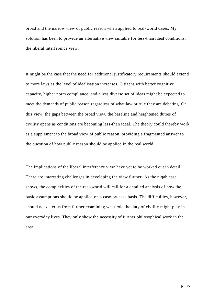broad and the narrow view of public reason when applied to real-world cases. My solution has been to provide an alternative view suitable for less-than ideal conditions: the liberal interference view.

It might be the case that the need for additional justificatory requirements should extend to more laws as the level of idealisation increases. Citizens with better cognitive capacity, higher norm compliance, and a less diverse set of ideas might be expected to meet the demands of public reason regardless of what law or rule they are debating. On this view, the gaps between the broad view, the baseline and heightened duties of civility opens as conditions are becoming less-than ideal. The theory could thereby work as a supplement to the broad view of public reason, providing a fragmented answer to the question of how public reason should be applied in the real world.

The implications of the liberal interference view have yet to be worked out in detail. There are interesting challenges in developing the view further. As the niqab case shows, the complexities of the real-world will call for a detailed analysis of how the basic assumptions should be applied on a case-by-case basis. The difficulties, however, should not deter us from further examining what role the duty of civility might play in our everyday lives. They only show the necessity of further philosophical work in the area.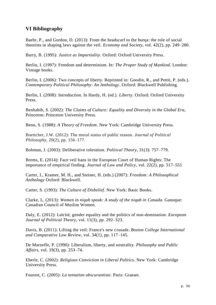# **VI Bibliography**

Baehr, P., and Gordon, D. (2013): From the headscarf to the burqa: the role of social theorists in shaping laws against the veil. *Economy and Society*, vol. 42(2), pp. 249–280.

Barry, B. (1995): *Justice as Impartiality*. Oxford: Oxford University Press.

Berlin, I. (1997): Freedom and determinism. In: *The Proper Study of Mankind*. London: Vintage books.

Berlin, I. (2006): Two concepts of liberty. Reprinted in: Goodin, R., and Pettit, P. (eds.). *Contemporary Political Philosophy: An Anthology*. Oxford: Blackwell Publishing.

Berlin, I. (2008): Introduction. In Hardy, H. (ed.). *Liberty*. Oxford: Oxford University Press.

Benhabib, S. (2002): *The Claims of Culture: Equality and Diversity in the Global Era*, Princeton: Princeton University Press.

Benn, S. (1988): *A Theory of Freedom*. New York: Cambridge University Press.

Boettcher, J.W. (2012): The moral status of public reason. *Journal of Political Philosophy*, 20(2), pp. 156–177.

Bohman, J. (2003): Deliberative toleration. *Political Theory*, 31(3): 757–779.

Brems, E. (2014): Face veil bans in the European Court of Human Rights: The importance of empirical finding. *Journal of Law and Policy*, vol. 22(2), pp. 517–551

Carter, I., Kramer, M. H., and Steiner, H. (eds.) (2007): *Freedom: A Philosophical Anthology* Oxford: Blackwell.

Carter, S. (1993): *The Culture of Disbelief*. New York: Basic Books.

Clarke, L. (2013): *Women in niqab speak: A study of the niqab in Canada*. Ganoque: Canadian Council of Muslim Women.

Daly, E. (2012): Laïcité, gender equality and the politics of non-domination. *European Journal of Political Theory*, vol. 11(3), pp. 292–323.

Davis, B. (2011): Lifting the veil: France's new crusade. *Boston College International and Comparative Law Review*, vol. 34(1), pp. 117–145.

De Marneffe, P. (1990): Liberalism, liberty, and neutrality. *Philosophy and Public Affairs*, vol. 19(3), pp. 253–74.

Eberle, C. (2002): *Religious Conviction in Liberal Politics*. New York: Cambridge University Press.

Fourest, C. (2005): *La tentation obscurantiste*. Paris: Grasset.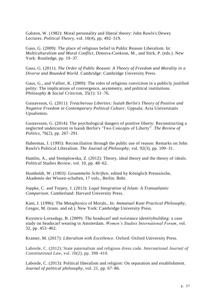Galston, W. (1982): Moral personality and liberal theory: John Rawls's Dewey Lectures. *Political Theory*, vol. 10(4), pp. 492–519.

Gaus, G. (2009): The place of religious belief in Public Reason Liberalism. In: *Multiculturalism and Moral Conflict*, Dimova-Cookson, M., and Stirk, P. (eds.). New York: Routledge, pp. 19–37.

Gaus, G. (2011): *The Order of Public Reason: A Theory of Freedom and Morality in a Diverse and Bounded World*. Cambridge: Cambridge University Press.

Gaus, G., and Vallier, K. (2009): The roles of religious conviction in a publicly justified polity: The implications of convergence, asymmetry, and political institutions. *Philosophy & Social Criticism*, 35(1): 51–76.

Gustavsson, G. (2011): *Treacherous Liberties: Isaiah Berlin's Theory of Positive and Negative Freedom in Contemporary Political Culture*. Uppsala: Acta Universitatis Upsaliensis.

Gustavsson, G. (2014): The psychological dangers of positive liberty: Reconstructing a neglected undercurrent in Isaiah Berlin's 'Two Concepts of Liberty". *The Review of Politics*, 76(2), pp. 267–291.

Habermas, J. (1995): Reconciliation through the public use of reason: Remarks on John Rawls's Political Liberalism. *The Journal of Philosophy*, vol. 92(3), pp. 109–31.

Hamlin, A., and Stemplowska, Z. (2012): Theory, ideal theory and the theory of ideals. *Political Studies Review*, vol. 10, pp. 48–62.

Humboldt, W. (1903): *Gesammelte Schriften*, edited by Königlich Preussische, Akademie der Wissen-schaften, 17 vols., Berlin: Behr.

Joppke, C. and Torpey, J. (2013): *Legal Integration of Islam: A Transatlantic Comparison*. Cumberland: Harvard University Press.

Kant, I. (1996): The Metaphysics of Morals., In: *Immanuel Kant Practical Philosophy*, Gregor, M. (trans. and ed.). New York: Cambridge University Press.

Koyuncu-Lorasdagı, B. (2009): The headscarf and resistance identitybuilding: a case study on headscarf wearing in Amsterdam. *Women's Studies International Forum*, vol. 32, pp. 453–462.

Kramer, M. (2017): *Liberalism with Excellence*. Oxford: Oxford University Press.

Laborde, C. (2012): State paternalism and religious dress code. *International Journal of Constitutional Law*, vol. 10(2), pp. 398–410.

Laborde, C. (2013): Political liberalism and religion: On separation and establishment. *Journal of political philosophy*, vol. 21, pp. 67–86.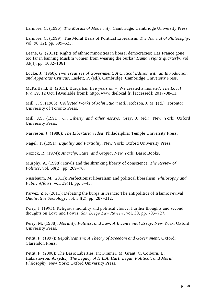Larmore, C. (1996): *The Morals of Modernity*. Cambridge: Cambridge University Press.

Larmore, C. (1999): The Moral Basis of Political Liberalism. *The Journal of Philosophy*, vol. 96(12), pp. 599–625.

Leane, G. (2011): Rights of ethnic minorities in liberal democracies: Has France gone too far in banning Muslim women from wearing the burka? *Human rights quarterly*, vol. 33(4), pp. 1032–1061.

Locke, J. (1960): *Two Treatises of Government*. *A Critical Edition with an Introduction and Apparatus Criticus*. Laslett, P. (ed.). Cambridge: Cambridge University Press.

McPartland, B. (2015): Burqa ban five years on – 'We created a monster'. *The Local France*. 12 Oct. [Available from]: http://www.thelocal.fr. [accessed]: 2017-08-11.

Mill, J. S. (1963): *Collected Works of John Stuart Mill*. Robson, J. M. (ed.). Toronto: University of Toronto Press.

Mill, J.S. (1991): *On Liberty and other essays*. Gray, J. (ed.). New York: Oxford University Press.

Narveson, J. (1988): *The Libertarian Idea*. Philadelphia: Temple University Press.

Nagel, T. (1991): *Equality and Partiality*. New York: Oxford University Press.

Nozick, R. (1974): *Anarchy, State, and Utopia*. New York: Basic Books.

Murphy, A. (1998): Rawls and the shrinking liberty of conscience. *The Review of Politics*, vol. 60(2), pp. 269–76.

Nussbaum, M. (2011): Perfectionist liberalism and political liberalism. *Philosophy and Public Affairs*, vol. 39(1), pp. 3–45.

Parvez, Z.F. (2011): Debating the burqa in France: The antipolitics of Islamic revival. *Qualitative Sociology*, vol. 34(2), pp. 287–312.

Perry, J. (1993): Religious morality and political choice: Further thoughts and second thoughts on Love and Power*. San Diego Law Review*, vol. 30, pp. 703–727.

Perry, M. (1988): *Morality, Politics, and Law: A Bicentennial Essay*. New York: Oxford University Press.

Pettit, P. (1997): *Republicanism: A Theory of Freedom and Government*. Oxford: Clarendon Press.

Pettit, P. (2008): The Basic Liberties. In: Kramer, M. Grant, C. Colburn, B. Hatzistavrou, A. (eds.). *The Legacy of H.L.A. Hart: Legal, Political, and Moral Philosophy*. New York: Oxford University Press.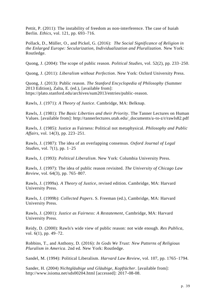Pettit, P. (2011): The instability of freedom as non-interference. The case of Isaiah Berlin. *Ethics*, vol. 121, pp. 693–716.

Pollack, D., Müller, O., and Pickel, G. (2016): *The Social Significance of Religion in the Enlarged Europe: Secularization, Individualization and Pluralization.* New York: Routledge.

Quong, J. (2004): The scope of public reason. *Political Studies*, vol. 52(2), pp. 233–250.

Quong, J. (2011): *Liberalism without Perfection*. New York: Oxford University Press.

Quong, J. (2013): Public reason. *The Stanford Encyclopedia of Philosophy* (Summer 2013 Edition), Zalta, E. (ed.), [available from]: https://plato.stanford.edu/archives/sum2013/entries/public-reason.

Rawls, J. (1971): *A Theory of Justice*. Cambridge, MA: Belknap.

Rawls, J. (1981): *The Basic Liberties and their Priority*. The Tanner Lectures on Human Values. [available from]: http://tannerlectures.utah.edu/\_documents/a-to-z/r/rawls82.pdf

Rawls, J. (1985): Justice as Fairness: Political not metaphysical. *Philosophy and Public Affairs*, vol. 14(3), pp. 223–251.

Rawls, J. (1987): The idea of an overlapping consensus. *Oxford Journal of Legal Studies*, vol. 7(1), pp. 1–25

Rawls, J. (1993): *Political Liberalism*. New York: Columbia University Press.

Rawls, J. (1997): The idea of public reason revisited. *The University of Chicago Law Review*, vol. 64(3), pp. 765–807.

Rawls, J. (1999a). *A Theory of Justice*, revised edition. Cambridge, MA: Harvard University Press.

Rawls, J. (1999b): *Collected Papers*. S. Freeman (ed.), Cambridge, MA: Harvard University Press.

Rawls, J. (2001): *Justice as Fairness: A Restatement*, Cambridge, MA: Harvard University Press.

Reidy, D. (2000): Rawls's wide view of public reason: not wide enough. *Res Publica*, vol. 6(1), pp. 49–72.

Robbins, T., and Anthony, D. (2016): *In Gods We Trust: New Patterns of Religious Pluralism in America*. 2nd ed. New York: Routledge.

Sandel, M. (1994): Political Liberalism. *Harvard Law Review*, vol. 107, pp. 1765–1794.

Sander, H. (2004) *Nichtgläubige und Gläubige, Kopftücher*. [available from]: http://www.isioma.net/sds00204.html [accessed]: 2017-08-08.